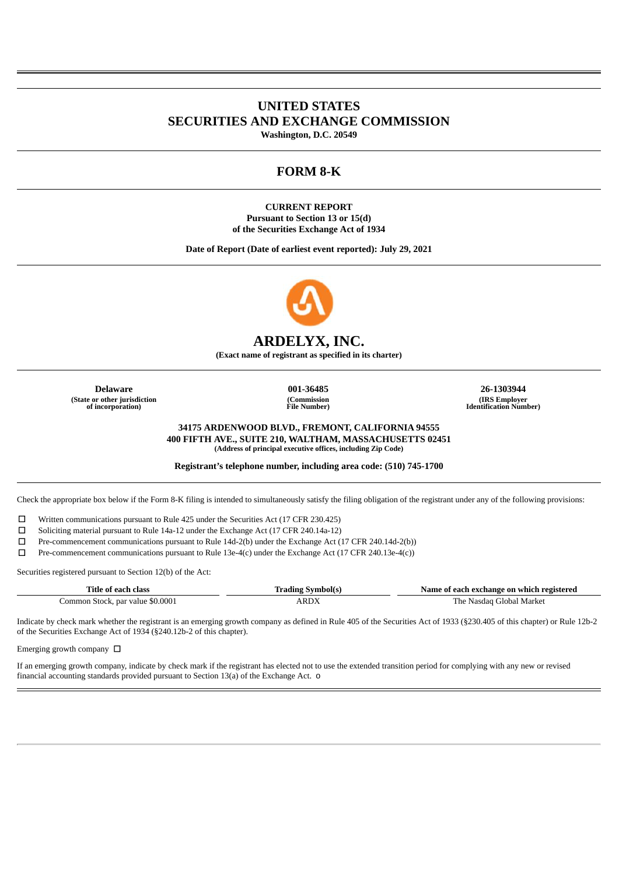# **UNITED STATES SECURITIES AND EXCHANGE COMMISSION**

**Washington, D.C. 20549**

## **FORM 8-K**

**CURRENT REPORT Pursuant to Section 13 or 15(d) of the Securities Exchange Act of 1934**

**Date of Report (Date of earliest event reported): July 29, 2021**



## **ARDELYX, INC.**

**(Exact name of registrant as specified in its charter)**

**(State or other jurisdiction of incorporation)**

**(Commission File Number)**

**Delaware 001-36485 26-1303944 (IRS Employer Identification Number)**

> **34175 ARDENWOOD BLVD., FREMONT, CALIFORNIA 94555 400 FIFTH AVE., SUITE 210, WALTHAM, MASSACHUSETTS 02451 (Address of principal executive offices, including Zip Code)**

**Registrant's telephone number, including area code: (510) 745-1700**

Check the appropriate box below if the Form 8-K filing is intended to simultaneously satisfy the filing obligation of the registrant under any of the following provisions:

☐ Written communications pursuant to Rule 425 under the Securities Act (17 CFR 230.425)

☐ Soliciting material pursuant to Rule 14a-12 under the Exchange Act (17 CFR 240.14a-12)

☐ Pre-commencement communications pursuant to Rule 14d-2(b) under the Exchange Act (17 CFR 240.14d-2(b))

☐ Pre-commencement communications pursuant to Rule 13e-4(c) under the Exchange Act (17 CFR 240.13e-4(c))

Securities registered pursuant to Section 12(b) of the Act:

| Title of each class              | <b>Trading Symbol(s)</b> | Name of each exchange on which registered |
|----------------------------------|--------------------------|-------------------------------------------|
| Common Stock, par value \$0.0001 | ARDY                     | The Nasdag Global Market                  |

Indicate by check mark whether the registrant is an emerging growth company as defined in Rule 405 of the Securities Act of 1933 (§230.405 of this chapter) or Rule 12b-2 of the Securities Exchange Act of 1934 (§240.12b-2 of this chapter).

Emerging growth company  $\Box$ 

If an emerging growth company, indicate by check mark if the registrant has elected not to use the extended transition period for complying with any new or revised financial accounting standards provided pursuant to Section 13(a) of the Exchange Act. o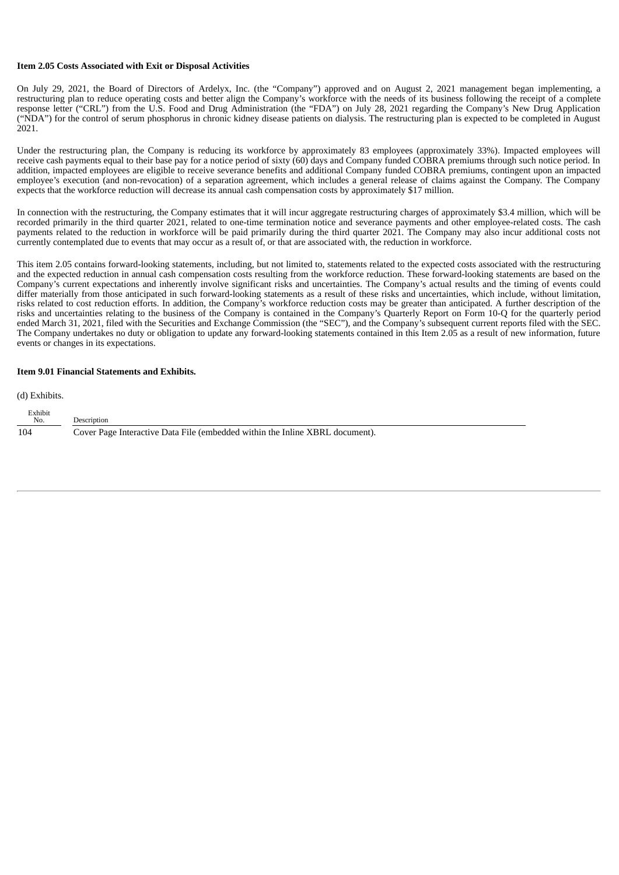#### **Item 2.05 Costs Associated with Exit or Disposal Activities**

On July 29, 2021, the Board of Directors of Ardelyx, Inc. (the "Company") approved and on August 2, 2021 management began implementing, a restructuring plan to reduce operating costs and better align the Company's workforce with the needs of its business following the receipt of a complete response letter ("CRL") from the U.S. Food and Drug Administration (the "FDA") on July 28, 2021 regarding the Company's New Drug Application ("NDA") for the control of serum phosphorus in chronic kidney disease patients on dialysis. The restructuring plan is expected to be completed in August 2021.

Under the restructuring plan, the Company is reducing its workforce by approximately 83 employees (approximately 33%). Impacted employees will receive cash payments equal to their base pay for a notice period of sixty (60) days and Company funded COBRA premiums through such notice period. In addition, impacted employees are eligible to receive severance benefits and additional Company funded COBRA premiums, contingent upon an impacted employee's execution (and non-revocation) of a separation agreement, which includes a general release of claims against the Company. The Company expects that the workforce reduction will decrease its annual cash compensation costs by approximately \$17 million.

In connection with the restructuring, the Company estimates that it will incur aggregate restructuring charges of approximately \$3.4 million, which will be recorded primarily in the third quarter 2021, related to one-time termination notice and severance payments and other employee-related costs. The cash payments related to the reduction in workforce will be paid primarily during the third quarter 2021. The Company may also incur additional costs not currently contemplated due to events that may occur as a result of, or that are associated with, the reduction in workforce.

This item 2.05 contains forward-looking statements, including, but not limited to, statements related to the expected costs associated with the restructuring and the expected reduction in annual cash compensation costs resulting from the workforce reduction. These forward-looking statements are based on the Company's current expectations and inherently involve significant risks and uncertainties. The Company's actual results and the timing of events could differ materially from those anticipated in such forward-looking statements as a result of these risks and uncertainties, which include, without limitation, risks related to cost reduction efforts. In addition, the Company's workforce reduction costs may be greater than anticipated. A further description of the risks and uncertainties relating to the business of the Company is contained in the Company's Quarterly Report on Form 10-Q for the quarterly period ended March 31, 2021, filed with the Securities and Exchange Commission (the "SEC"), and the Company's subsequent current reports filed with the SEC. The Company undertakes no duty or obligation to update any forward-looking statements contained in this Item 2.05 as a result of new information, future events or changes in its expectations.

#### **Item 9.01 Financial Statements and Exhibits.**

(d) Exhibits.

| Exhibit<br>No. | Description                                                                  |
|----------------|------------------------------------------------------------------------------|
| 104            | Cover Page Interactive Data File (embedded within the Inline XBRL document). |